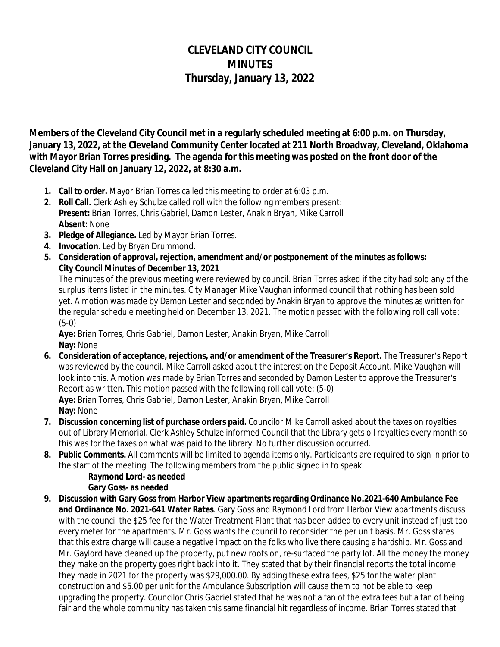## **CLEVELAND CITY COUNCIL MINUTES Thursday, January 13, 2022**

**Members of the Cleveland City Council met in a regularly scheduled meeting at 6:00 p.m. on Thursday, January 13, 2022, at the Cleveland Community Center located at 211 North Broadway, Cleveland, Oklahoma with Mayor Brian Torres presiding. The agenda for this meeting was posted on the front door of the Cleveland City Hall on January 12, 2022, at 8:30 a.m.**

- **1. Call to order.** Mayor Brian Torres called this meeting to order at 6:03 p.m.
- **2. Roll Call.** Clerk Ashley Schulze called roll with the following members present: **Present:** Brian Torres, Chris Gabriel, Damon Lester, Anakin Bryan, Mike Carroll **Absent:** None
- **3. Pledge of Allegiance.** Led by Mayor Brian Torres.
- **4. Invocation.** Led by Bryan Drummond.
- **5. Consideration of approval, rejection, amendment and/or postponement of the minutes as follows: City Council Minutes of December 13, 2021**

The minutes of the previous meeting were reviewed by council. Brian Torres asked if the city had sold any of the surplus items listed in the minutes. City Manager Mike Vaughan informed council that nothing has been sold yet. A motion was made by Damon Lester and seconded by Anakin Bryan to approve the minutes as written for the regular schedule meeting held on December 13, 2021. The motion passed with the following roll call vote: (5-0)

**Aye:** Brian Torres, Chris Gabriel, Damon Lester, Anakin Bryan, Mike Carroll **Nay:** None

- **6. Consideration of acceptance, rejections, and/or amendment of the Treasurer's Report.** The Treasurer's Report was reviewed by the council. Mike Carroll asked about the interest on the Deposit Account. Mike Vaughan will look into this. A motion was made by Brian Torres and seconded by Damon Lester to approve the Treasurer's Report as written. This motion passed with the following roll call vote: (5-0) **Aye:** Brian Torres, Chris Gabriel, Damon Lester, Anakin Bryan, Mike Carroll **Nay:** None
- **7. Discussion concerning list of purchase orders paid.** Councilor Mike Carroll asked about the taxes on royalties out of Library Memorial. Clerk Ashley Schulze informed Council that the Library gets oil royalties every month so this was for the taxes on what was paid to the library. No further discussion occurred.
- **8. Public Comments.** All comments will be limited to agenda items only. Participants are required to sign in prior to the start of the meeting. The following members from the public signed in to speak:

## **Raymond Lord- as needed Gary Goss- as needed**

**9. Discussion with Gary Goss from Harbor View apartments regarding Ordinance No.2021-640 Ambulance Fee and Ordinance No. 2021-641 Water Rates**. Gary Goss and Raymond Lord from Harbor View apartments discuss with the council the \$25 fee for the Water Treatment Plant that has been added to every unit instead of just too every meter for the apartments. Mr. Goss wants the council to reconsider the per unit basis. Mr. Goss states that this extra charge will cause a negative impact on the folks who live there causing a hardship. Mr. Goss and Mr. Gaylord have cleaned up the property, put new roofs on, re-surfaced the party lot. All the money the money they make on the property goes right back into it. They stated that by their financial reports the total income they made in 2021 for the property was \$29,000.00. By adding these extra fees, \$25 for the water plant construction and \$5.00 per unit for the Ambulance Subscription will cause them to not be able to keep upgrading the property. Councilor Chris Gabriel stated that he was not a fan of the extra fees but a fan of being fair and the whole community has taken this same financial hit regardless of income. Brian Torres stated that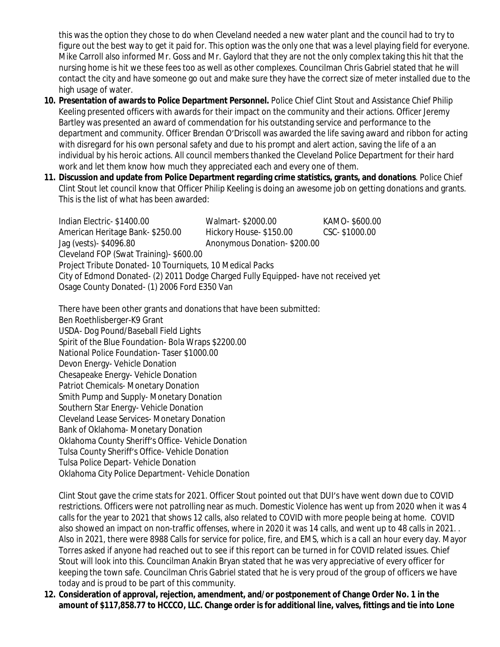this was the option they chose to do when Cleveland needed a new water plant and the council had to try to figure out the best way to get it paid for. This option was the only one that was a level playing field for everyone. Mike Carroll also informed Mr. Goss and Mr. Gaylord that they are not the only complex taking this hit that the nursing home is hit we these fees too as well as other complexes. Councilman Chris Gabriel stated that he will contact the city and have someone go out and make sure they have the correct size of meter installed due to the high usage of water.

- **10. Presentation of awards to Police Department Personnel.** Police Chief Clint Stout and Assistance Chief Philip Keeling presented officers with awards for their impact on the community and their actions. Officer Jeremy Bartley was presented an award of commendation for his outstanding service and performance to the department and community. Officer Brendan O'Driscoll was awarded the life saving award and ribbon for acting with disregard for his own personal safety and due to his prompt and alert action, saving the life of a an individual by his heroic actions. All council members thanked the Cleveland Police Department for their hard work and let them know how much they appreciated each and every one of them.
- **11. Discussion and update from Police Department regarding crime statistics, grants, and donations**. Police Chief Clint Stout let council know that Officer Philip Keeling is doing an awesome job on getting donations and grants. This is the list of what has been awarded:

Indian Electric- \$1400.00 Walmart- \$2000.00 KAMO- \$600.00 American Heritage Bank- \$250.00 Hickory House- \$150.00 CSC- \$1000.00 Jag (vests)- \$4096.80 Anonymous Donation- \$200.00 Cleveland FOP (Swat Training)- \$600.00 Project Tribute Donated- 10 Tourniquets, 10 Medical Packs City of Edmond Donated- (2) 2011 Dodge Charged Fully Equipped- have not received yet Osage County Donated- (1) 2006 Ford E350 Van

There have been other grants and donations that have been submitted: Ben Roethlisberger-K9 Grant USDA- Dog Pound/Baseball Field Lights Spirit of the Blue Foundation- Bola Wraps \$2200.00 National Police Foundation- Taser \$1000.00 Devon Energy- Vehicle Donation Chesapeake Energy- Vehicle Donation Patriot Chemicals- Monetary Donation Smith Pump and Supply- Monetary Donation Southern Star Energy- Vehicle Donation Cleveland Lease Services- Monetary Donation Bank of Oklahoma- Monetary Donation Oklahoma County Sheriff's Office- Vehicle Donation Tulsa County Sheriff's Office- Vehicle Donation Tulsa Police Depart- Vehicle Donation Oklahoma City Police Department- Vehicle Donation

Clint Stout gave the crime stats for 2021. Officer Stout pointed out that DUI's have went down due to COVID restrictions. Officers were not patrolling near as much. Domestic Violence has went up from 2020 when it was 4 calls for the year to 2021 that shows 12 calls, also related to COVID with more people being at home. COVID also showed an impact on non-traffic offenses, where in 2020 it was 14 calls, and went up to 48 calls in 2021. . Also in 2021, there were 8988 Calls for service for police, fire, and EMS, which is a call an hour every day. Mayor Torres asked if anyone had reached out to see if this report can be turned in for COVID related issues. Chief Stout will look into this. Councilman Anakin Bryan stated that he was very appreciative of every officer for keeping the town safe. Councilman Chris Gabriel stated that he is very proud of the group of officers we have today and is proud to be part of this community.

**12. Consideration of approval, rejection, amendment, and/or postponement of Change Order No. 1 in the amount of \$117,858.77 to HCCCO, LLC. Change order is for additional line, valves, fittings and tie into Lone**